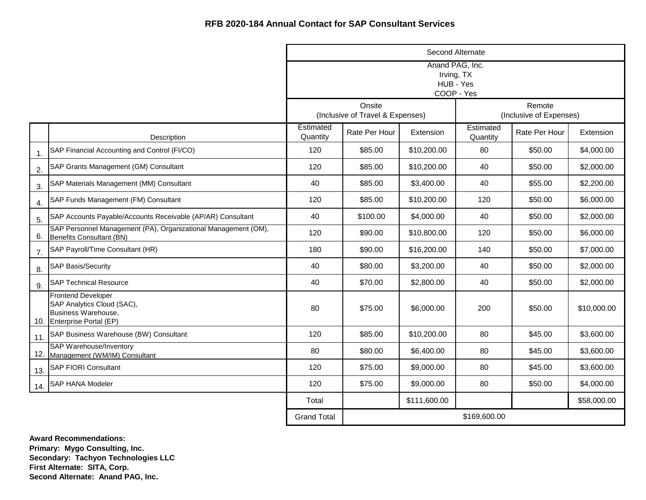|                |                                                                                                              |                       |                                            | Second Alternate                                         |                       |                                   |             |
|----------------|--------------------------------------------------------------------------------------------------------------|-----------------------|--------------------------------------------|----------------------------------------------------------|-----------------------|-----------------------------------|-------------|
|                |                                                                                                              |                       |                                            | Anand PAG, Inc.<br>Irving, TX<br>HUB - Yes<br>COOP - Yes |                       |                                   |             |
|                |                                                                                                              |                       | Onsite<br>(Inclusive of Travel & Expenses) |                                                          |                       | Remote<br>(Inclusive of Expenses) |             |
|                | Description                                                                                                  | Estimated<br>Quantity | Rate Per Hour                              | Extension                                                | Estimated<br>Quantity | Rate Per Hour                     | Extension   |
| $\mathbf{1}$ . | SAP Financial Accounting and Control (FI/CO)                                                                 | 120                   | \$85.00                                    | \$10,200.00                                              | 80                    | \$50.00                           | \$4,000.00  |
| 2.             | SAP Grants Management (GM) Consultant                                                                        | 120                   | \$85.00                                    | \$10,200.00                                              | 40                    | \$50.00                           | \$2,000.00  |
| 3.             | SAP Materials Management (MM) Consultant                                                                     | 40                    | \$85.00                                    | \$3,400.00                                               | 40                    | \$55.00                           | \$2,200.00  |
| 4.             | SAP Funds Management (FM) Consultant                                                                         | 120                   | \$85.00                                    | \$10,200.00                                              | 120                   | \$50.00                           | \$6,000.00  |
| 5.             | SAP Accounts Payable/Accounts Receivable (AP/AR) Consultant                                                  | 40                    | \$100.00                                   | \$4,000.00                                               | 40                    | \$50.00                           | \$2,000.00  |
| 6.             | SAP Personnel Management (PA), Organizational Management (OM),<br>Benefits Consultant (BN)                   | 120                   | \$90.00                                    | \$10,800.00                                              | 120                   | \$50.00                           | \$6,000.00  |
| 7.             | SAP Payroll/Time Consultant (HR)                                                                             | 180                   | \$90.00                                    | \$16,200.00                                              | 140                   | \$50.00                           | \$7,000.00  |
| 8.             | <b>SAP Basis/Security</b>                                                                                    | 40                    | \$80.00                                    | \$3,200.00                                               | 40                    | \$50.00                           | \$2,000.00  |
| 9.             | <b>SAP Technical Resource</b>                                                                                | 40                    | \$70.00                                    | \$2,800.00                                               | 40                    | \$50.00                           | \$2,000.00  |
|                | <b>Frontend Developer</b><br>SAP Analytics Cloud (SAC),<br>Business Warehouse,<br>10. Enterprise Portal (EP) | 80                    | \$75.00                                    | \$6,000.00                                               | 200                   | \$50.00                           | \$10,000.00 |
| 11.            | SAP Business Warehouse (BW) Consultant                                                                       | 120                   | \$85.00                                    | \$10,200.00                                              | 80                    | \$45.00                           | \$3,600.00  |
|                | <b>SAP Warehouse/Inventory</b><br>12. Management (WM/IM) Consultant                                          | 80                    | \$80.00                                    | \$6,400.00                                               | 80                    | \$45.00                           | \$3,600.00  |
| 13.            | <b>SAP FIORI Consultant</b>                                                                                  | 120                   | \$75.00                                    | \$9,000.00                                               | 80                    | \$45.00                           | \$3,600.00  |
| 14.            | SAP HANA Modeler                                                                                             | 120                   | \$75.00                                    | \$9,000.00                                               | 80                    | \$50.00                           | \$4,000.00  |
|                |                                                                                                              | Total                 |                                            | \$111,600.00                                             |                       |                                   | \$58,000.00 |
|                |                                                                                                              | <b>Grand Total</b>    |                                            |                                                          | \$169,600.00          |                                   |             |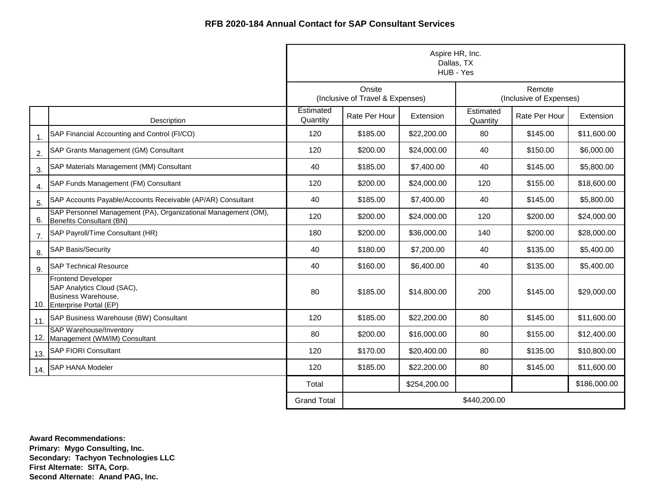|                |                                                                                                              | Aspire HR, Inc.<br>Dallas, TX<br>HUB - Yes |                                            |              |                       |                                   |              |  |
|----------------|--------------------------------------------------------------------------------------------------------------|--------------------------------------------|--------------------------------------------|--------------|-----------------------|-----------------------------------|--------------|--|
|                |                                                                                                              |                                            | Onsite<br>(Inclusive of Travel & Expenses) |              |                       | Remote<br>(Inclusive of Expenses) |              |  |
|                | Description                                                                                                  | Estimated<br>Quantity                      | Rate Per Hour                              | Extension    | Estimated<br>Quantity | Rate Per Hour                     | Extension    |  |
| $\mathbf{1}$ . | SAP Financial Accounting and Control (FI/CO)                                                                 | 120                                        | \$185.00                                   | \$22,200.00  | 80                    | \$145.00                          | \$11,600.00  |  |
| 2.             | SAP Grants Management (GM) Consultant                                                                        | 120                                        | \$200.00                                   | \$24,000.00  | 40                    | \$150.00                          | \$6,000.00   |  |
| 3.             | SAP Materials Management (MM) Consultant                                                                     | 40                                         | \$185.00                                   | \$7,400.00   | 40                    | \$145.00                          | \$5,800.00   |  |
| 4.             | SAP Funds Management (FM) Consultant                                                                         | 120                                        | \$200.00                                   | \$24,000.00  | 120                   | \$155.00                          | \$18,600.00  |  |
| 5.             | SAP Accounts Payable/Accounts Receivable (AP/AR) Consultant                                                  | 40                                         | \$185.00                                   | \$7,400.00   | 40                    | \$145.00                          | \$5,800.00   |  |
| 6.             | SAP Personnel Management (PA), Organizational Management (OM),<br>Benefits Consultant (BN)                   | 120                                        | \$200.00                                   | \$24,000.00  | 120                   | \$200.00                          | \$24,000.00  |  |
| 7.             | SAP Payroll/Time Consultant (HR)                                                                             | 180                                        | \$200.00                                   | \$36,000.00  | 140                   | \$200.00                          | \$28,000.00  |  |
| 8.             | <b>SAP Basis/Security</b>                                                                                    | 40                                         | \$180.00                                   | \$7,200.00   | 40                    | \$135.00                          | \$5,400.00   |  |
| 9.             | <b>SAP Technical Resource</b>                                                                                | 40                                         | \$160.00                                   | \$6,400.00   | 40                    | \$135.00                          | \$5,400.00   |  |
|                | <b>Frontend Developer</b><br>SAP Analytics Cloud (SAC),<br>Business Warehouse,<br>10. Enterprise Portal (EP) | 80                                         | \$185.00                                   | \$14,800.00  | 200                   | \$145.00                          | \$29,000.00  |  |
| 11.            | SAP Business Warehouse (BW) Consultant                                                                       | 120                                        | \$185.00                                   | \$22,200.00  | 80                    | \$145.00                          | \$11,600.00  |  |
|                | <b>SAP Warehouse/Inventory</b><br>12. Management (WM/IM) Consultant                                          | 80                                         | \$200.00                                   | \$16,000.00  | 80                    | \$155.00                          | \$12,400.00  |  |
| 13.            | <b>SAP FIORI Consultant</b>                                                                                  | 120                                        | \$170.00                                   | \$20,400.00  | 80                    | \$135.00                          | \$10,800.00  |  |
| 14.            | <b>SAP HANA Modeler</b>                                                                                      | 120                                        | \$185.00                                   | \$22,200.00  | 80                    | \$145.00                          | \$11,600.00  |  |
|                |                                                                                                              | Total                                      |                                            | \$254,200.00 |                       |                                   | \$186,000.00 |  |
|                |                                                                                                              | <b>Grand Total</b>                         | \$440,200.00                               |              |                       |                                   |              |  |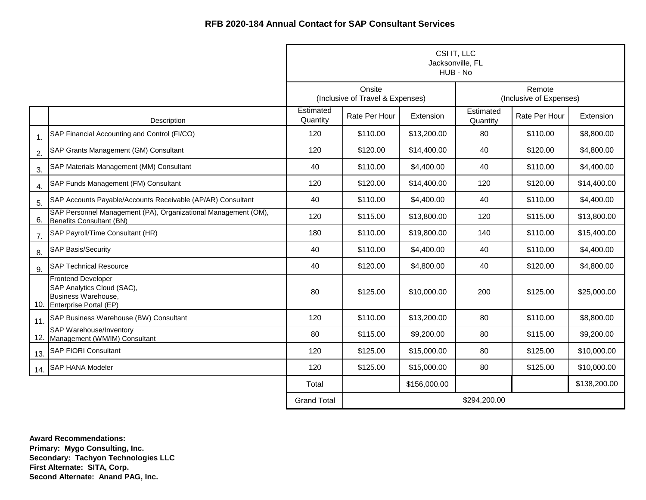|                |                                                                                                              | CSI IT, LLC<br>Jacksonville, FL<br>HUB - No |                                            |              |                       |                                   |              |
|----------------|--------------------------------------------------------------------------------------------------------------|---------------------------------------------|--------------------------------------------|--------------|-----------------------|-----------------------------------|--------------|
|                |                                                                                                              |                                             | Onsite<br>(Inclusive of Travel & Expenses) |              |                       | Remote<br>(Inclusive of Expenses) |              |
|                | Description                                                                                                  | Estimated<br>Quantity                       | Rate Per Hour                              | Extension    | Estimated<br>Quantity | Rate Per Hour                     | Extension    |
| $\mathbf{1}$ . | SAP Financial Accounting and Control (FI/CO)                                                                 | 120                                         | \$110.00                                   | \$13,200.00  | 80                    | \$110.00                          | \$8,800.00   |
| 2.             | SAP Grants Management (GM) Consultant                                                                        | 120                                         | \$120.00                                   | \$14,400.00  | 40                    | \$120.00                          | \$4,800.00   |
| 3.             | SAP Materials Management (MM) Consultant                                                                     | 40                                          | \$110.00                                   | \$4,400.00   | 40                    | \$110.00                          | \$4,400.00   |
| 4.             | SAP Funds Management (FM) Consultant                                                                         | 120                                         | \$120.00                                   | \$14,400.00  | 120                   | \$120.00                          | \$14,400.00  |
| 5.             | SAP Accounts Payable/Accounts Receivable (AP/AR) Consultant                                                  | 40                                          | \$110.00                                   | \$4,400.00   | 40                    | \$110.00                          | \$4,400.00   |
| 6.             | SAP Personnel Management (PA), Organizational Management (OM),<br>Benefits Consultant (BN)                   | 120                                         | \$115.00                                   | \$13,800.00  | 120                   | \$115.00                          | \$13,800.00  |
| 7.             | SAP Payroll/Time Consultant (HR)                                                                             | 180                                         | \$110.00                                   | \$19,800.00  | 140                   | \$110.00                          | \$15,400.00  |
| 8.             | <b>SAP Basis/Security</b>                                                                                    | 40                                          | \$110.00                                   | \$4,400.00   | 40                    | \$110.00                          | \$4,400.00   |
| 9.             | <b>SAP Technical Resource</b>                                                                                | 40                                          | \$120.00                                   | \$4,800.00   | 40                    | \$120.00                          | \$4,800.00   |
|                | <b>Frontend Developer</b><br>SAP Analytics Cloud (SAC),<br>Business Warehouse,<br>10. Enterprise Portal (EP) | 80                                          | \$125.00                                   | \$10,000.00  | 200                   | \$125.00                          | \$25,000.00  |
| 11.            | SAP Business Warehouse (BW) Consultant                                                                       | 120                                         | \$110.00                                   | \$13,200.00  | 80                    | \$110.00                          | \$8,800.00   |
|                | <b>SAP Warehouse/Inventory</b><br>12. Management (WM/IM) Consultant                                          | 80                                          | \$115.00                                   | \$9,200.00   | 80                    | \$115.00                          | \$9,200.00   |
| 13.            | <b>SAP FIORI Consultant</b>                                                                                  | 120                                         | \$125.00                                   | \$15,000.00  | 80                    | \$125.00                          | \$10,000.00  |
| 14.            | <b>SAP HANA Modeler</b>                                                                                      | 120                                         | \$125.00                                   | \$15,000.00  | 80                    | \$125.00                          | \$10,000.00  |
|                |                                                                                                              | Total                                       |                                            | \$156,000.00 |                       |                                   | \$138,200.00 |
|                |                                                                                                              | <b>Grand Total</b>                          |                                            |              | \$294,200.00          |                                   |              |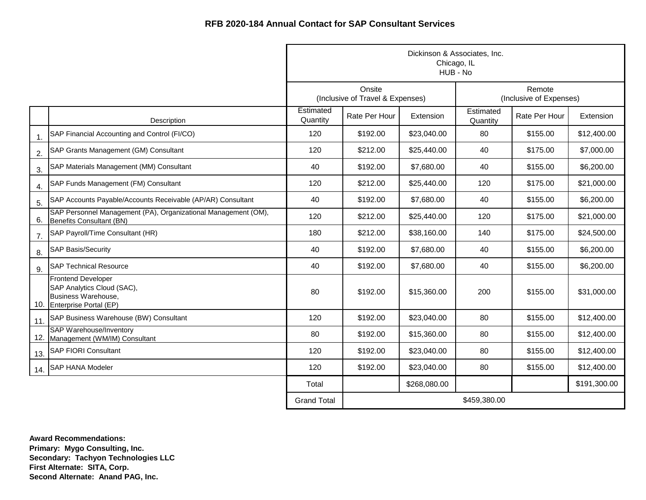|                |                                                                                                              | Dickinson & Associates, Inc.<br>Chicago, IL<br>HUB - No |                                            |              |                       |                                   |              |  |
|----------------|--------------------------------------------------------------------------------------------------------------|---------------------------------------------------------|--------------------------------------------|--------------|-----------------------|-----------------------------------|--------------|--|
|                |                                                                                                              |                                                         | Onsite<br>(Inclusive of Travel & Expenses) |              |                       | Remote<br>(Inclusive of Expenses) |              |  |
|                | Description                                                                                                  | Estimated<br>Quantity                                   | Rate Per Hour                              | Extension    | Estimated<br>Quantity | Rate Per Hour                     | Extension    |  |
| $\mathbf{1}$ . | SAP Financial Accounting and Control (FI/CO)                                                                 | 120                                                     | \$192.00                                   | \$23,040.00  | 80                    | \$155.00                          | \$12,400.00  |  |
| 2.             | SAP Grants Management (GM) Consultant                                                                        | 120                                                     | \$212.00                                   | \$25,440.00  | 40                    | \$175.00                          | \$7,000.00   |  |
| 3.             | SAP Materials Management (MM) Consultant                                                                     | 40                                                      | \$192.00                                   | \$7,680.00   | 40                    | \$155.00                          | \$6,200.00   |  |
| 4.             | SAP Funds Management (FM) Consultant                                                                         | 120                                                     | \$212.00                                   | \$25,440.00  | 120                   | \$175.00                          | \$21,000.00  |  |
| 5.             | SAP Accounts Payable/Accounts Receivable (AP/AR) Consultant                                                  | 40                                                      | \$192.00                                   | \$7,680.00   | 40                    | \$155.00                          | \$6,200.00   |  |
| 6.             | SAP Personnel Management (PA), Organizational Management (OM),<br>Benefits Consultant (BN)                   | 120                                                     | \$212.00                                   | \$25,440.00  | 120                   | \$175.00                          | \$21,000.00  |  |
| 7.             | SAP Payroll/Time Consultant (HR)                                                                             | 180                                                     | \$212.00                                   | \$38,160.00  | 140                   | \$175.00                          | \$24,500.00  |  |
| 8.             | <b>SAP Basis/Security</b>                                                                                    | 40                                                      | \$192.00                                   | \$7,680.00   | 40                    | \$155.00                          | \$6,200.00   |  |
| 9.             | <b>SAP Technical Resource</b>                                                                                | 40                                                      | \$192.00                                   | \$7,680.00   | 40                    | \$155.00                          | \$6,200.00   |  |
|                | <b>Frontend Developer</b><br>SAP Analytics Cloud (SAC),<br>Business Warehouse,<br>10. Enterprise Portal (EP) | 80                                                      | \$192.00                                   | \$15,360.00  | 200                   | \$155.00                          | \$31,000.00  |  |
| 11.            | SAP Business Warehouse (BW) Consultant                                                                       | 120                                                     | \$192.00                                   | \$23,040.00  | 80                    | \$155.00                          | \$12,400.00  |  |
|                | <b>SAP Warehouse/Inventory</b><br>12. Management (WM/IM) Consultant                                          | 80                                                      | \$192.00                                   | \$15,360.00  | 80                    | \$155.00                          | \$12,400.00  |  |
| 13.            | <b>SAP FIORI Consultant</b>                                                                                  | 120                                                     | \$192.00                                   | \$23,040.00  | 80                    | \$155.00                          | \$12,400.00  |  |
|                | 14. SAP HANA Modeler                                                                                         | 120                                                     | \$192.00                                   | \$23,040.00  | 80                    | \$155.00                          | \$12,400.00  |  |
|                |                                                                                                              | Total                                                   |                                            | \$268,080.00 |                       |                                   | \$191,300.00 |  |
|                |                                                                                                              | <b>Grand Total</b>                                      |                                            |              | \$459,380.00          |                                   |              |  |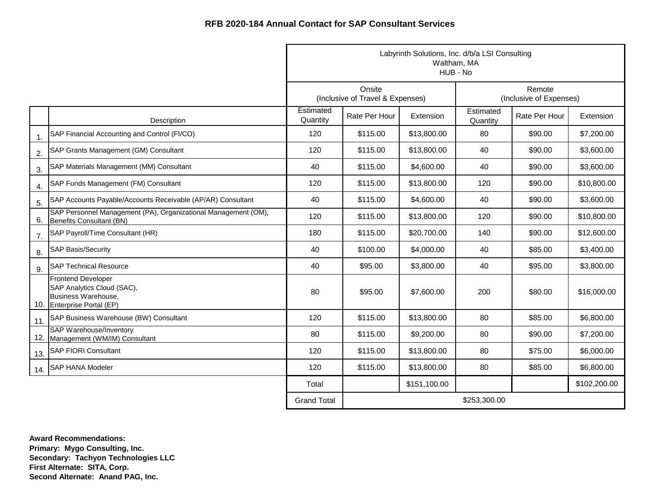|                |                                                                                                              | Labyrinth Solutions, Inc. d/b/a LSI Consulting<br>Waltham, MA<br>HUB - No |                                            |              |                       |                                   |              |  |
|----------------|--------------------------------------------------------------------------------------------------------------|---------------------------------------------------------------------------|--------------------------------------------|--------------|-----------------------|-----------------------------------|--------------|--|
|                |                                                                                                              |                                                                           | Onsite<br>(Inclusive of Travel & Expenses) |              |                       | Remote<br>(Inclusive of Expenses) |              |  |
|                | Description                                                                                                  | Estimated<br>Quantity                                                     | Rate Per Hour                              | Extension    | Estimated<br>Quantity | Rate Per Hour                     | Extension    |  |
| $\mathbf{1}$ . | SAP Financial Accounting and Control (FI/CO)                                                                 | 120                                                                       | \$115.00                                   | \$13,800.00  | 80                    | \$90.00                           | \$7,200.00   |  |
| 2.             | SAP Grants Management (GM) Consultant                                                                        | 120                                                                       | \$115.00                                   | \$13,800.00  | 40                    | \$90.00                           | \$3,600.00   |  |
| 3.             | SAP Materials Management (MM) Consultant                                                                     | 40                                                                        | \$115.00                                   | \$4,600.00   | 40                    | \$90.00                           | \$3,600.00   |  |
| 4.             | SAP Funds Management (FM) Consultant                                                                         | 120                                                                       | \$115.00                                   | \$13,800.00  | 120                   | \$90.00                           | \$10,800.00  |  |
| 5.             | SAP Accounts Payable/Accounts Receivable (AP/AR) Consultant                                                  | 40                                                                        | \$115.00                                   | \$4,600.00   | 40                    | \$90.00                           | \$3,600.00   |  |
| 6.             | SAP Personnel Management (PA), Organizational Management (OM),<br>Benefits Consultant (BN)                   | 120                                                                       | \$115.00                                   | \$13,800.00  | 120                   | \$90.00                           | \$10,800.00  |  |
| 7.             | SAP Payroll/Time Consultant (HR)                                                                             | 180                                                                       | \$115.00                                   | \$20,700.00  | 140                   | \$90.00                           | \$12,600.00  |  |
| 8.             | <b>SAP Basis/Security</b>                                                                                    | 40                                                                        | \$100.00                                   | \$4,000.00   | 40                    | \$85.00                           | \$3,400.00   |  |
| 9.             | <b>SAP Technical Resource</b>                                                                                | 40                                                                        | \$95.00                                    | \$3,800.00   | 40                    | \$95.00                           | \$3,800.00   |  |
|                | <b>Frontend Developer</b><br>SAP Analytics Cloud (SAC),<br>Business Warehouse,<br>10. Enterprise Portal (EP) | 80                                                                        | \$95.00                                    | \$7,600.00   | 200                   | \$80.00                           | \$16,000.00  |  |
| 11.            | SAP Business Warehouse (BW) Consultant                                                                       | 120                                                                       | \$115.00                                   | \$13,800.00  | 80                    | \$85.00                           | \$6,800.00   |  |
|                | <b>SAP Warehouse/Inventory</b><br>12. Management (WM/IM) Consultant                                          | 80                                                                        | \$115.00                                   | \$9,200.00   | 80                    | \$90.00                           | \$7,200.00   |  |
| 13.            | <b>SAP FIORI Consultant</b>                                                                                  | 120                                                                       | \$115.00                                   | \$13,800.00  | 80                    | \$75.00                           | \$6,000.00   |  |
| 14.            | <b>SAP HANA Modeler</b>                                                                                      | 120                                                                       | \$115.00                                   | \$13,800.00  | 80                    | \$85.00                           | \$6,800.00   |  |
|                |                                                                                                              | Total                                                                     |                                            | \$151,100.00 |                       |                                   | \$102,200.00 |  |
|                |                                                                                                              | <b>Grand Total</b>                                                        |                                            |              | \$253,300.00          |                                   |              |  |

**Award Recommendations: Primary: Mygo Consulting, Inc. Secondary: Tachyon Technologies LLC First Alternate: SITA, Corp. Second Alternate: Anand PAG, Inc.**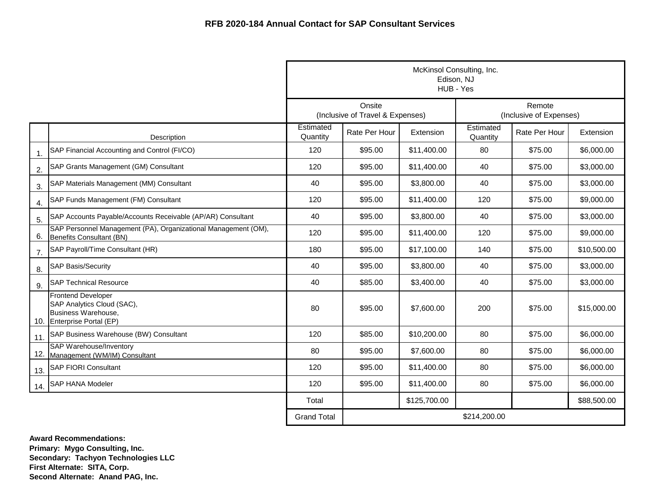|                |                                                                                                              |                       | McKinsol Consulting, Inc.<br>Edison, NJ<br>HUB - Yes |              |                       |                                   |             |  |  |
|----------------|--------------------------------------------------------------------------------------------------------------|-----------------------|------------------------------------------------------|--------------|-----------------------|-----------------------------------|-------------|--|--|
|                |                                                                                                              |                       | Onsite<br>(Inclusive of Travel & Expenses)           |              |                       | Remote<br>(Inclusive of Expenses) |             |  |  |
|                | Description                                                                                                  | Estimated<br>Quantity | Rate Per Hour                                        | Extension    | Estimated<br>Quantity | Rate Per Hour                     | Extension   |  |  |
| $\mathbf{1}$ . | SAP Financial Accounting and Control (FI/CO)                                                                 | 120                   | \$95.00                                              | \$11,400.00  | 80                    | \$75.00                           | \$6,000.00  |  |  |
| 2.             | SAP Grants Management (GM) Consultant                                                                        | 120                   | \$95.00                                              | \$11,400.00  | 40                    | \$75.00                           | \$3,000.00  |  |  |
| 3.             | SAP Materials Management (MM) Consultant                                                                     | 40                    | \$95.00                                              | \$3,800.00   | 40                    | \$75.00                           | \$3,000.00  |  |  |
| 4.             | SAP Funds Management (FM) Consultant                                                                         | 120                   | \$95.00                                              | \$11,400.00  | 120                   | \$75.00                           | \$9,000.00  |  |  |
| 5.             | SAP Accounts Payable/Accounts Receivable (AP/AR) Consultant                                                  | 40                    | \$95.00                                              | \$3,800.00   | 40                    | \$75.00                           | \$3,000.00  |  |  |
| 6.             | SAP Personnel Management (PA), Organizational Management (OM),<br>Benefits Consultant (BN)                   | 120                   | \$95.00                                              | \$11,400.00  | 120                   | \$75.00                           | \$9,000.00  |  |  |
| 7.             | SAP Payroll/Time Consultant (HR)                                                                             | 180                   | \$95.00                                              | \$17,100.00  | 140                   | \$75.00                           | \$10,500.00 |  |  |
| 8.             | <b>SAP Basis/Security</b>                                                                                    | 40                    | \$95.00                                              | \$3,800.00   | 40                    | \$75.00                           | \$3,000.00  |  |  |
| 9.             | <b>SAP Technical Resource</b>                                                                                | 40                    | \$85.00                                              | \$3,400.00   | 40                    | \$75.00                           | \$3,000.00  |  |  |
|                | <b>Frontend Developer</b><br>SAP Analytics Cloud (SAC),<br>Business Warehouse,<br>10. Enterprise Portal (EP) | 80                    | \$95.00                                              | \$7,600.00   | 200                   | \$75.00                           | \$15,000.00 |  |  |
| 11.            | SAP Business Warehouse (BW) Consultant                                                                       | 120                   | \$85.00                                              | \$10,200.00  | 80                    | \$75.00                           | \$6,000.00  |  |  |
| 12.            | SAP Warehouse/Inventory<br>Management (WM/IM) Consultant                                                     | 80                    | \$95.00                                              | \$7,600.00   | 80                    | \$75.00                           | \$6,000.00  |  |  |
| 13.            | <b>SAP FIORI Consultant</b>                                                                                  | 120                   | \$95.00                                              | \$11,400.00  | 80                    | \$75.00                           | \$6,000.00  |  |  |
| 14.            | <b>SAP HANA Modeler</b>                                                                                      | 120                   | \$95.00                                              | \$11,400.00  | 80                    | \$75.00                           | \$6,000.00  |  |  |
|                |                                                                                                              | Total                 |                                                      | \$125,700.00 |                       |                                   | \$88,500.00 |  |  |
|                |                                                                                                              | <b>Grand Total</b>    |                                                      |              | \$214,200.00          |                                   |             |  |  |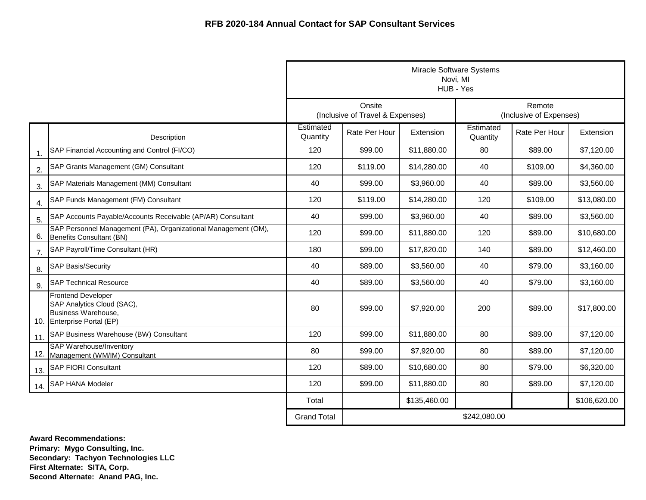|                |                                                                                                              | Miracle Software Systems<br>Novi, MI<br>HUB - Yes |                                            |              |                       |                                   |              |  |
|----------------|--------------------------------------------------------------------------------------------------------------|---------------------------------------------------|--------------------------------------------|--------------|-----------------------|-----------------------------------|--------------|--|
|                |                                                                                                              |                                                   | Onsite<br>(Inclusive of Travel & Expenses) |              |                       | Remote<br>(Inclusive of Expenses) |              |  |
|                | Description                                                                                                  | Estimated<br>Quantity                             | Rate Per Hour                              | Extension    | Estimated<br>Quantity | Rate Per Hour                     | Extension    |  |
| $\mathbf{1}$ . | SAP Financial Accounting and Control (FI/CO)                                                                 | 120                                               | \$99.00                                    | \$11,880.00  | 80                    | \$89.00                           | \$7,120.00   |  |
| 2.             | SAP Grants Management (GM) Consultant                                                                        | 120                                               | \$119.00                                   | \$14,280.00  | 40                    | \$109.00                          | \$4,360.00   |  |
| 3.             | SAP Materials Management (MM) Consultant                                                                     | 40                                                | \$99.00                                    | \$3,960.00   | 40                    | \$89.00                           | \$3,560.00   |  |
| 4.             | SAP Funds Management (FM) Consultant                                                                         | 120                                               | \$119.00                                   | \$14,280.00  | 120                   | \$109.00                          | \$13,080.00  |  |
| 5.             | SAP Accounts Payable/Accounts Receivable (AP/AR) Consultant                                                  | 40                                                | \$99.00                                    | \$3,960.00   | 40                    | \$89.00                           | \$3,560.00   |  |
| 6.             | SAP Personnel Management (PA), Organizational Management (OM),<br>Benefits Consultant (BN)                   | 120                                               | \$99.00                                    | \$11,880.00  | 120                   | \$89.00                           | \$10,680.00  |  |
| 7.             | SAP Payroll/Time Consultant (HR)                                                                             | 180                                               | \$99.00                                    | \$17,820.00  | 140                   | \$89.00                           | \$12,460.00  |  |
| 8.             | <b>SAP Basis/Security</b>                                                                                    | 40                                                | \$89.00                                    | \$3,560.00   | 40                    | \$79.00                           | \$3,160.00   |  |
| 9.             | <b>SAP Technical Resource</b>                                                                                | 40                                                | \$89.00                                    | \$3,560.00   | 40                    | \$79.00                           | \$3,160.00   |  |
|                | <b>Frontend Developer</b><br>SAP Analytics Cloud (SAC),<br>Business Warehouse,<br>10. Enterprise Portal (EP) | 80                                                | \$99.00                                    | \$7,920.00   | 200                   | \$89.00                           | \$17,800.00  |  |
| 11.            | SAP Business Warehouse (BW) Consultant                                                                       | 120                                               | \$99.00                                    | \$11,880.00  | 80                    | \$89.00                           | \$7,120.00   |  |
|                | <b>SAP Warehouse/Inventory</b><br>12. Management (WM/IM) Consultant                                          | 80                                                | \$99.00                                    | \$7,920.00   | 80                    | \$89.00                           | \$7,120.00   |  |
| 13.            | <b>SAP FIORI Consultant</b>                                                                                  | 120                                               | \$89.00                                    | \$10,680.00  | 80                    | \$79.00                           | \$6,320.00   |  |
| 14.            | <b>SAP HANA Modeler</b>                                                                                      | 120                                               | \$99.00                                    | \$11,880.00  | 80                    | \$89.00                           | \$7,120.00   |  |
|                |                                                                                                              | Total                                             |                                            | \$135,460.00 |                       |                                   | \$106,620.00 |  |
|                |                                                                                                              | <b>Grand Total</b>                                |                                            |              | \$242,080.00          |                                   |              |  |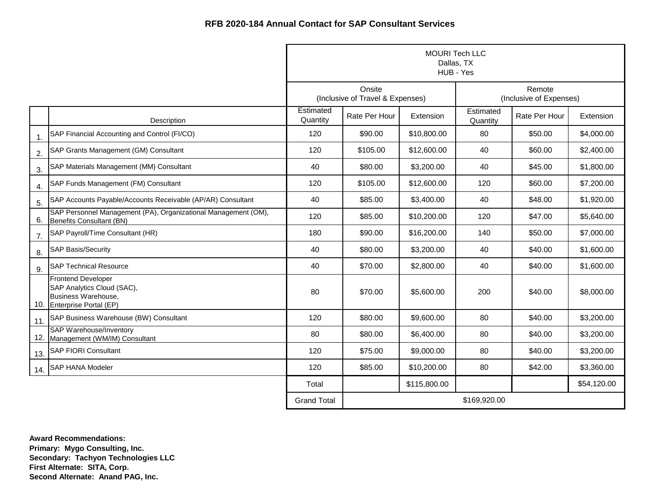|                |                                                                                                              | <b>MOURI Tech LLC</b><br>Dallas, TX<br>HUB - Yes |                                            |              |                       |                                   |             |  |
|----------------|--------------------------------------------------------------------------------------------------------------|--------------------------------------------------|--------------------------------------------|--------------|-----------------------|-----------------------------------|-------------|--|
|                |                                                                                                              |                                                  | Onsite<br>(Inclusive of Travel & Expenses) |              |                       | Remote<br>(Inclusive of Expenses) |             |  |
|                | Description                                                                                                  | Estimated<br>Quantity                            | Rate Per Hour                              | Extension    | Estimated<br>Quantity | Rate Per Hour                     | Extension   |  |
| $\mathbf{1}$ . | SAP Financial Accounting and Control (FI/CO)                                                                 | 120                                              | \$90.00                                    | \$10,800.00  | 80                    | \$50.00                           | \$4,000.00  |  |
| 2.             | SAP Grants Management (GM) Consultant                                                                        | 120                                              | \$105.00                                   | \$12,600.00  | 40                    | \$60.00                           | \$2,400.00  |  |
| 3.             | SAP Materials Management (MM) Consultant                                                                     | 40                                               | \$80.00                                    | \$3,200.00   | 40                    | \$45.00                           | \$1,800.00  |  |
| 4.             | SAP Funds Management (FM) Consultant                                                                         | 120                                              | \$105.00                                   | \$12,600.00  | 120                   | \$60.00                           | \$7,200.00  |  |
| 5.             | SAP Accounts Payable/Accounts Receivable (AP/AR) Consultant                                                  | 40                                               | \$85.00                                    | \$3,400.00   | 40                    | \$48.00                           | \$1,920.00  |  |
| 6.             | SAP Personnel Management (PA), Organizational Management (OM),<br>Benefits Consultant (BN)                   | 120                                              | \$85.00                                    | \$10,200.00  | 120                   | \$47.00                           | \$5,640.00  |  |
| 7.             | SAP Payroll/Time Consultant (HR)                                                                             | 180                                              | \$90.00                                    | \$16,200.00  | 140                   | \$50.00                           | \$7,000.00  |  |
| 8.             | <b>SAP Basis/Security</b>                                                                                    | 40                                               | \$80.00                                    | \$3,200.00   | 40                    | \$40.00                           | \$1,600.00  |  |
| 9.             | <b>SAP Technical Resource</b>                                                                                | 40                                               | \$70.00                                    | \$2,800.00   | 40                    | \$40.00                           | \$1,600.00  |  |
|                | <b>Frontend Developer</b><br>SAP Analytics Cloud (SAC),<br>Business Warehouse,<br>10. Enterprise Portal (EP) | 80                                               | \$70.00                                    | \$5,600.00   | 200                   | \$40.00                           | \$8,000.00  |  |
| 11.            | SAP Business Warehouse (BW) Consultant                                                                       | 120                                              | \$80.00                                    | \$9,600.00   | 80                    | \$40.00                           | \$3,200.00  |  |
|                | <b>SAP Warehouse/Inventory</b><br>12. Management (WM/IM) Consultant                                          | 80                                               | \$80.00                                    | \$6,400.00   | 80                    | \$40.00                           | \$3,200.00  |  |
| 13.            | <b>SAP FIORI Consultant</b>                                                                                  | 120                                              | \$75.00                                    | \$9,000.00   | 80                    | \$40.00                           | \$3,200.00  |  |
| 14.            | <b>SAP HANA Modeler</b>                                                                                      | 120                                              | \$85.00                                    | \$10,200.00  | 80                    | \$42.00                           | \$3,360.00  |  |
|                |                                                                                                              | Total                                            |                                            | \$115,800.00 |                       |                                   | \$54,120.00 |  |
|                |                                                                                                              | <b>Grand Total</b>                               | \$169,920.00                               |              |                       |                                   |             |  |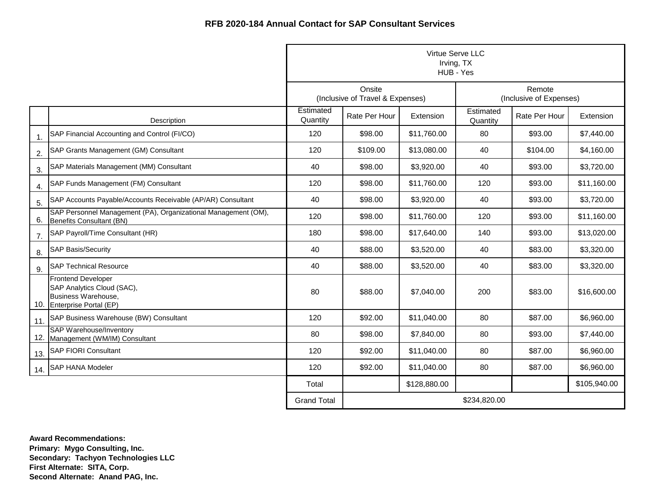|                |                                                                                                              | Virtue Serve LLC<br>Irving, TX<br>HUB - Yes |                                            |              |                       |                                   |              |
|----------------|--------------------------------------------------------------------------------------------------------------|---------------------------------------------|--------------------------------------------|--------------|-----------------------|-----------------------------------|--------------|
|                |                                                                                                              |                                             | Onsite<br>(Inclusive of Travel & Expenses) |              |                       | Remote<br>(Inclusive of Expenses) |              |
|                | Description                                                                                                  | Estimated<br>Quantity                       | Rate Per Hour                              | Extension    | Estimated<br>Quantity | Rate Per Hour                     | Extension    |
| $\mathbf{1}$ . | SAP Financial Accounting and Control (FI/CO)                                                                 | 120                                         | \$98.00                                    | \$11,760.00  | 80                    | \$93.00                           | \$7,440.00   |
| 2.             | SAP Grants Management (GM) Consultant                                                                        | 120                                         | \$109.00                                   | \$13,080.00  | 40                    | \$104.00                          | \$4,160.00   |
| 3.             | SAP Materials Management (MM) Consultant                                                                     | 40                                          | \$98.00                                    | \$3,920.00   | 40                    | \$93.00                           | \$3,720.00   |
| 4.             | SAP Funds Management (FM) Consultant                                                                         | 120                                         | \$98.00                                    | \$11,760.00  | 120                   | \$93.00                           | \$11,160.00  |
| 5.             | SAP Accounts Payable/Accounts Receivable (AP/AR) Consultant                                                  | 40                                          | \$98.00                                    | \$3,920.00   | 40                    | \$93.00                           | \$3,720.00   |
| 6.             | SAP Personnel Management (PA), Organizational Management (OM),<br>Benefits Consultant (BN)                   | 120                                         | \$98.00                                    | \$11,760.00  | 120                   | \$93.00                           | \$11,160.00  |
| 7.             | SAP Payroll/Time Consultant (HR)                                                                             | 180                                         | \$98.00                                    | \$17,640.00  | 140                   | \$93.00                           | \$13,020.00  |
| 8.             | <b>SAP Basis/Security</b>                                                                                    | 40                                          | \$88.00                                    | \$3,520.00   | 40                    | \$83.00                           | \$3,320.00   |
| 9.             | <b>SAP Technical Resource</b>                                                                                | 40                                          | \$88.00                                    | \$3,520.00   | 40                    | \$83.00                           | \$3,320.00   |
|                | <b>Frontend Developer</b><br>SAP Analytics Cloud (SAC),<br>Business Warehouse,<br>10. Enterprise Portal (EP) | 80                                          | \$88.00                                    | \$7,040.00   | 200                   | \$83.00                           | \$16,600.00  |
| 11.            | SAP Business Warehouse (BW) Consultant                                                                       | 120                                         | \$92.00                                    | \$11,040.00  | 80                    | \$87.00                           | \$6,960.00   |
|                | <b>SAP Warehouse/Inventory</b><br>12. Management (WM/IM) Consultant                                          | 80                                          | \$98.00                                    | \$7,840.00   | 80                    | \$93.00                           | \$7,440.00   |
| 13.            | <b>SAP FIORI Consultant</b>                                                                                  | 120                                         | \$92.00                                    | \$11,040.00  | 80                    | \$87.00                           | \$6,960.00   |
| 14.            | <b>SAP HANA Modeler</b>                                                                                      | 120                                         | \$92.00                                    | \$11,040.00  | 80                    | \$87.00                           | \$6,960.00   |
|                |                                                                                                              | Total                                       |                                            | \$128,880.00 |                       |                                   | \$105,940.00 |
|                |                                                                                                              | <b>Grand Total</b>                          |                                            |              | \$234,820.00          |                                   |              |

**Award Recommendations: Primary: Mygo Consulting, Inc. Secondary: Tachyon Technologies LLC First Alternate: SITA, Corp. Second Alternate: Anand PAG, Inc.**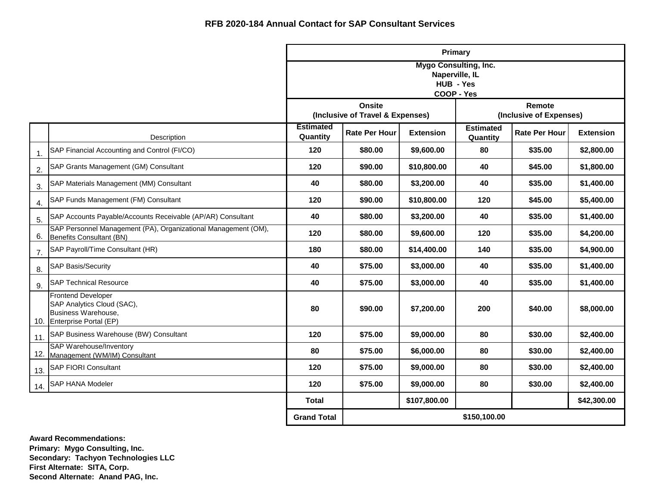|                |                                                                                                          |                              |                                                   | Primary                                                                   |                              |                                   |                  |  |
|----------------|----------------------------------------------------------------------------------------------------------|------------------------------|---------------------------------------------------|---------------------------------------------------------------------------|------------------------------|-----------------------------------|------------------|--|
|                |                                                                                                          |                              |                                                   | <b>Mygo Consulting, Inc.</b><br>Naperville, IL<br>HUB - Yes<br>COOP - Yes |                              |                                   |                  |  |
|                |                                                                                                          |                              | <b>Onsite</b><br>(Inclusive of Travel & Expenses) |                                                                           |                              | Remote<br>(Inclusive of Expenses) |                  |  |
|                | Description                                                                                              | <b>Estimated</b><br>Quantity | <b>Rate Per Hour</b>                              | <b>Extension</b>                                                          | <b>Estimated</b><br>Quantity | <b>Rate Per Hour</b>              | <b>Extension</b> |  |
| $\mathbf{1}$ . | SAP Financial Accounting and Control (FI/CO)                                                             | 120                          | \$80.00                                           | \$9,600.00                                                                | 80                           | \$35.00                           | \$2,800.00       |  |
| 2.             | SAP Grants Management (GM) Consultant                                                                    | 120                          | \$90.00                                           | \$10,800.00                                                               | 40                           | \$45.00                           | \$1,800.00       |  |
| 3.             | SAP Materials Management (MM) Consultant                                                                 | 40                           | \$80.00                                           | \$3,200.00                                                                | 40                           | \$35.00                           | \$1,400.00       |  |
| 4.             | SAP Funds Management (FM) Consultant                                                                     | 120                          | \$90.00                                           | \$10,800.00                                                               | 120                          | \$45.00                           | \$5,400.00       |  |
| 5.             | SAP Accounts Payable/Accounts Receivable (AP/AR) Consultant                                              | 40                           | \$80.00                                           | \$3,200.00                                                                | 40                           | \$35.00                           | \$1,400.00       |  |
| 6.             | SAP Personnel Management (PA), Organizational Management (OM),<br>Benefits Consultant (BN)               | 120                          | \$80.00                                           | \$9,600.00                                                                | 120                          | \$35.00                           | \$4,200.00       |  |
| 7.             | SAP Payroll/Time Consultant (HR)                                                                         | 180                          | \$80.00                                           | \$14,400.00                                                               | 140                          | \$35.00                           | \$4,900.00       |  |
| 8.             | <b>SAP Basis/Security</b>                                                                                | 40                           | \$75.00                                           | \$3,000.00                                                                | 40                           | \$35.00                           | \$1,400.00       |  |
| 9.             | <b>SAP Technical Resource</b>                                                                            | 40                           | \$75.00                                           | \$3,000.00                                                                | 40                           | \$35.00                           | \$1,400.00       |  |
| 10.            | <b>Frontend Developer</b><br>SAP Analytics Cloud (SAC),<br>Business Warehouse,<br>Enterprise Portal (EP) | 80                           | \$90.00                                           | \$7,200.00                                                                | 200                          | \$40.00                           | \$8,000.00       |  |
| 11.            | SAP Business Warehouse (BW) Consultant                                                                   | 120                          | \$75.00                                           | \$9,000.00                                                                | 80                           | \$30.00                           | \$2,400.00       |  |
|                | <b>SAP Warehouse/Inventory</b><br>12. Management (WM/IM) Consultant                                      | 80                           | \$75.00                                           | \$6,000.00                                                                | 80                           | \$30.00                           | \$2,400.00       |  |
| 13.            | <b>SAP FIORI Consultant</b>                                                                              | 120                          | \$75.00                                           | \$9,000.00                                                                | 80                           | \$30.00                           | \$2,400.00       |  |
| 14.            | <b>SAP HANA Modeler</b>                                                                                  | 120                          | \$75.00                                           | \$9,000.00                                                                | 80                           | \$30.00                           | \$2,400.00       |  |
|                |                                                                                                          | <b>Total</b>                 |                                                   | \$107,800.00                                                              |                              |                                   | \$42,300.00      |  |
|                |                                                                                                          | <b>Grand Total</b>           | \$150,100.00                                      |                                                                           |                              |                                   |                  |  |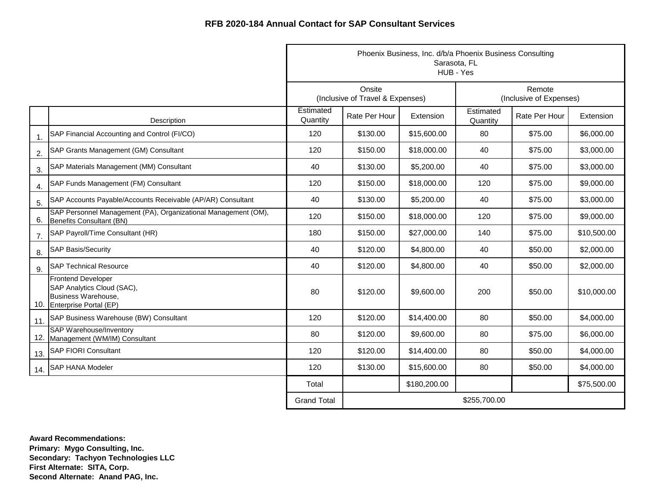|                |                                                                                                              | Phoenix Business, Inc. d/b/a Phoenix Business Consulting<br>Sarasota, FL<br>HUB - Yes |                                            |              |                       |                                   |             |  |
|----------------|--------------------------------------------------------------------------------------------------------------|---------------------------------------------------------------------------------------|--------------------------------------------|--------------|-----------------------|-----------------------------------|-------------|--|
|                |                                                                                                              |                                                                                       | Onsite<br>(Inclusive of Travel & Expenses) |              |                       | Remote<br>(Inclusive of Expenses) |             |  |
|                | Description                                                                                                  | Estimated<br>Quantity                                                                 | Rate Per Hour                              | Extension    | Estimated<br>Quantity | Rate Per Hour                     | Extension   |  |
| $\mathbf{1}$ . | SAP Financial Accounting and Control (FI/CO)                                                                 | 120                                                                                   | \$130.00                                   | \$15,600.00  | 80                    | \$75.00                           | \$6,000.00  |  |
| 2.             | SAP Grants Management (GM) Consultant                                                                        | 120                                                                                   | \$150.00                                   | \$18,000.00  | 40                    | \$75.00                           | \$3,000.00  |  |
| 3.             | SAP Materials Management (MM) Consultant                                                                     | 40                                                                                    | \$130.00                                   | \$5,200.00   | 40                    | \$75.00                           | \$3,000.00  |  |
| 4.             | SAP Funds Management (FM) Consultant                                                                         | 120                                                                                   | \$150.00                                   | \$18,000.00  | 120                   | \$75.00                           | \$9,000.00  |  |
| 5.             | SAP Accounts Payable/Accounts Receivable (AP/AR) Consultant                                                  | 40                                                                                    | \$130.00                                   | \$5,200.00   | 40                    | \$75.00                           | \$3,000.00  |  |
| 6.             | SAP Personnel Management (PA), Organizational Management (OM),<br>Benefits Consultant (BN)                   | 120                                                                                   | \$150.00                                   | \$18,000.00  | 120                   | \$75.00                           | \$9,000.00  |  |
| 7.             | SAP Payroll/Time Consultant (HR)                                                                             | 180                                                                                   | \$150.00                                   | \$27,000.00  | 140                   | \$75.00                           | \$10,500.00 |  |
| 8.             | <b>SAP Basis/Security</b>                                                                                    | 40                                                                                    | \$120.00                                   | \$4,800.00   | 40                    | \$50.00                           | \$2,000.00  |  |
| 9.             | <b>SAP Technical Resource</b>                                                                                | 40                                                                                    | \$120.00                                   | \$4,800.00   | 40                    | \$50.00                           | \$2,000.00  |  |
|                | <b>Frontend Developer</b><br>SAP Analytics Cloud (SAC),<br>Business Warehouse,<br>10. Enterprise Portal (EP) | 80                                                                                    | \$120.00                                   | \$9,600.00   | 200                   | \$50.00                           | \$10,000.00 |  |
| 11.            | SAP Business Warehouse (BW) Consultant                                                                       | 120                                                                                   | \$120.00                                   | \$14,400.00  | 80                    | \$50.00                           | \$4,000.00  |  |
|                | <b>SAP Warehouse/Inventory</b><br>12. Management (WM/IM) Consultant                                          | 80                                                                                    | \$120.00                                   | \$9,600.00   | 80                    | \$75.00                           | \$6,000.00  |  |
| 13.            | <b>SAP FIORI Consultant</b>                                                                                  | 120                                                                                   | \$120.00                                   | \$14,400.00  | 80                    | \$50.00                           | \$4,000.00  |  |
|                | 14. SAP HANA Modeler                                                                                         | 120                                                                                   | \$130.00                                   | \$15,600.00  | 80                    | \$50.00                           | \$4,000.00  |  |
|                |                                                                                                              | Total                                                                                 |                                            | \$180,200.00 |                       |                                   | \$75,500.00 |  |
|                |                                                                                                              | <b>Grand Total</b>                                                                    |                                            |              | \$255,700.00          |                                   |             |  |

**Award Recommendations: Primary: Mygo Consulting, Inc. Secondary: Tachyon Technologies LLC First Alternate: SITA, Corp. Second Alternate: Anand PAG, Inc.**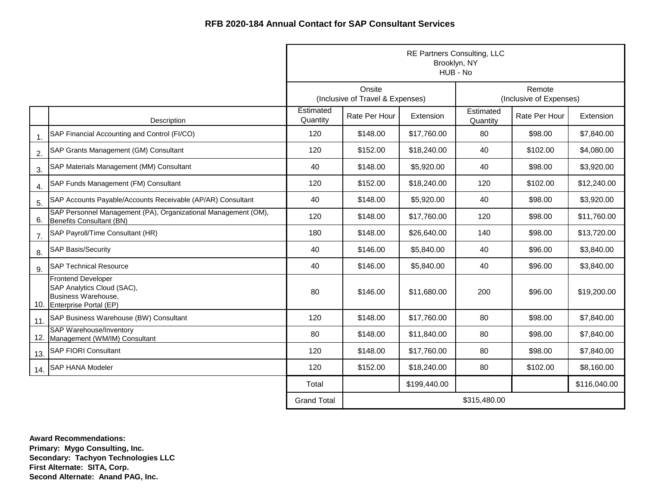|                |                                                                                                              | <b>RE Partners Consulting, LLC</b><br>Brooklyn, NY<br>HUB - No |                                            |              |                       |                                   |              |  |
|----------------|--------------------------------------------------------------------------------------------------------------|----------------------------------------------------------------|--------------------------------------------|--------------|-----------------------|-----------------------------------|--------------|--|
|                |                                                                                                              |                                                                | Onsite<br>(Inclusive of Travel & Expenses) |              |                       | Remote<br>(Inclusive of Expenses) |              |  |
|                | Description                                                                                                  | Estimated<br>Quantity                                          | Rate Per Hour                              | Extension    | Estimated<br>Quantity | Rate Per Hour                     | Extension    |  |
| $\mathbf{1}$ . | SAP Financial Accounting and Control (FI/CO)                                                                 | 120                                                            | \$148.00                                   | \$17,760.00  | 80                    | \$98.00                           | \$7,840.00   |  |
| 2.             | SAP Grants Management (GM) Consultant                                                                        | 120                                                            | \$152.00                                   | \$18,240.00  | 40                    | \$102.00                          | \$4,080.00   |  |
| 3.             | SAP Materials Management (MM) Consultant                                                                     | 40                                                             | \$148.00                                   | \$5,920.00   | 40                    | \$98.00                           | \$3,920.00   |  |
| 4.             | SAP Funds Management (FM) Consultant                                                                         | 120                                                            | \$152.00                                   | \$18,240.00  | 120                   | \$102.00                          | \$12,240.00  |  |
| 5.             | SAP Accounts Payable/Accounts Receivable (AP/AR) Consultant                                                  | 40                                                             | \$148.00                                   | \$5,920.00   | 40                    | \$98.00                           | \$3,920.00   |  |
| 6.             | SAP Personnel Management (PA), Organizational Management (OM),<br>Benefits Consultant (BN)                   | 120                                                            | \$148.00                                   | \$17,760.00  | 120                   | \$98.00                           | \$11,760.00  |  |
| 7.             | SAP Payroll/Time Consultant (HR)                                                                             | 180                                                            | \$148.00                                   | \$26,640.00  | 140                   | \$98.00                           | \$13,720.00  |  |
| 8.             | <b>SAP Basis/Security</b>                                                                                    | 40                                                             | \$146.00                                   | \$5,840.00   | 40                    | \$96.00                           | \$3,840.00   |  |
| 9.             | <b>SAP Technical Resource</b>                                                                                | 40                                                             | \$146.00                                   | \$5,840.00   | 40                    | \$96.00                           | \$3,840.00   |  |
|                | <b>Frontend Developer</b><br>SAP Analytics Cloud (SAC),<br>Business Warehouse,<br>10. Enterprise Portal (EP) | 80                                                             | \$146.00                                   | \$11,680.00  | 200                   | \$96.00                           | \$19,200.00  |  |
| 11.            | SAP Business Warehouse (BW) Consultant                                                                       | 120                                                            | \$148.00                                   | \$17,760.00  | 80                    | \$98.00                           | \$7,840.00   |  |
|                | <b>SAP Warehouse/Inventory</b><br>12. Management (WM/IM) Consultant                                          | 80                                                             | \$148.00                                   | \$11,840.00  | 80                    | \$98.00                           | \$7,840.00   |  |
| 13.            | <b>SAP FIORI Consultant</b>                                                                                  | 120                                                            | \$148.00                                   | \$17,760.00  | 80                    | \$98.00                           | \$7,840.00   |  |
| 14.            | <b>SAP HANA Modeler</b>                                                                                      | 120                                                            | \$152.00                                   | \$18,240.00  | 80                    | \$102.00                          | \$8,160.00   |  |
|                |                                                                                                              | Total                                                          |                                            | \$199,440.00 |                       |                                   | \$116,040.00 |  |
|                |                                                                                                              | <b>Grand Total</b>                                             |                                            |              | \$315,480.00          |                                   |              |  |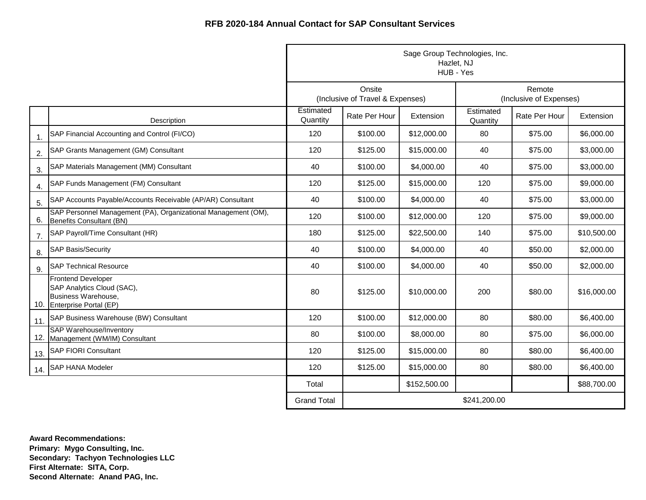|                |                                                                                                              | Sage Group Technologies, Inc.<br>Hazlet, NJ<br>HUB - Yes |                                            |              |                                   |               |             |
|----------------|--------------------------------------------------------------------------------------------------------------|----------------------------------------------------------|--------------------------------------------|--------------|-----------------------------------|---------------|-------------|
|                |                                                                                                              |                                                          | Onsite<br>(Inclusive of Travel & Expenses) |              | Remote<br>(Inclusive of Expenses) |               |             |
|                | Description                                                                                                  | Estimated<br>Quantity                                    | Rate Per Hour                              | Extension    | Estimated<br>Quantity             | Rate Per Hour | Extension   |
| $\mathbf{1}$ . | SAP Financial Accounting and Control (FI/CO)                                                                 | 120                                                      | \$100.00                                   | \$12,000.00  | 80                                | \$75.00       | \$6,000.00  |
| 2.             | SAP Grants Management (GM) Consultant                                                                        | 120                                                      | \$125.00                                   | \$15,000.00  | 40                                | \$75.00       | \$3,000.00  |
| 3.             | SAP Materials Management (MM) Consultant                                                                     | 40                                                       | \$100.00                                   | \$4,000.00   | 40                                | \$75.00       | \$3,000.00  |
| 4.             | SAP Funds Management (FM) Consultant                                                                         | 120                                                      | \$125.00                                   | \$15,000.00  | 120                               | \$75.00       | \$9,000.00  |
| 5.             | SAP Accounts Payable/Accounts Receivable (AP/AR) Consultant                                                  | 40                                                       | \$100.00                                   | \$4,000.00   | 40                                | \$75.00       | \$3,000.00  |
| 6.             | SAP Personnel Management (PA), Organizational Management (OM),<br>Benefits Consultant (BN)                   | 120                                                      | \$100.00                                   | \$12,000.00  | 120                               | \$75.00       | \$9,000.00  |
| 7.             | SAP Payroll/Time Consultant (HR)                                                                             | 180                                                      | \$125.00                                   | \$22,500.00  | 140                               | \$75.00       | \$10,500.00 |
| 8.             | <b>SAP Basis/Security</b>                                                                                    | 40                                                       | \$100.00                                   | \$4,000.00   | 40                                | \$50.00       | \$2,000.00  |
| 9.             | <b>SAP Technical Resource</b>                                                                                | 40                                                       | \$100.00                                   | \$4,000.00   | 40                                | \$50.00       | \$2,000.00  |
|                | <b>Frontend Developer</b><br>SAP Analytics Cloud (SAC),<br>Business Warehouse,<br>10. Enterprise Portal (EP) | 80                                                       | \$125.00                                   | \$10,000.00  | 200                               | \$80.00       | \$16,000.00 |
| 11.            | SAP Business Warehouse (BW) Consultant                                                                       | 120                                                      | \$100.00                                   | \$12,000.00  | 80                                | \$80.00       | \$6,400.00  |
|                | <b>SAP Warehouse/Inventory</b><br>12. Management (WM/IM) Consultant                                          | 80                                                       | \$100.00                                   | \$8,000.00   | 80                                | \$75.00       | \$6,000.00  |
| 13.            | <b>SAP FIORI Consultant</b>                                                                                  | 120                                                      | \$125.00                                   | \$15,000.00  | 80                                | \$80.00       | \$6,400.00  |
| 14.            | <b>SAP HANA Modeler</b>                                                                                      | 120                                                      | \$125.00                                   | \$15,000.00  | 80                                | \$80.00       | \$6,400.00  |
|                |                                                                                                              | Total                                                    |                                            | \$152,500.00 |                                   |               | \$88,700.00 |
|                |                                                                                                              | <b>Grand Total</b>                                       |                                            |              | \$241,200.00                      |               |             |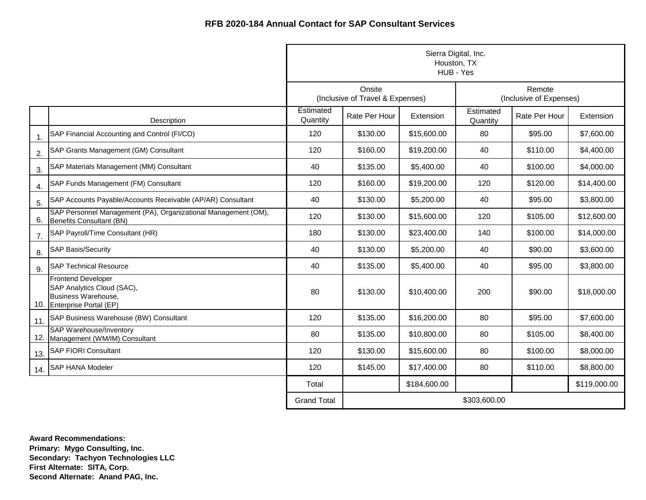|                  |                                                                                                              | Sierra Digital, Inc.<br>Houston, TX<br>HUB - Yes |                                            |              |                                   |               |              |
|------------------|--------------------------------------------------------------------------------------------------------------|--------------------------------------------------|--------------------------------------------|--------------|-----------------------------------|---------------|--------------|
|                  |                                                                                                              |                                                  | Onsite<br>(Inclusive of Travel & Expenses) |              | Remote<br>(Inclusive of Expenses) |               |              |
|                  | Description                                                                                                  | Estimated<br>Quantity                            | Rate Per Hour                              | Extension    | Estimated<br>Quantity             | Rate Per Hour | Extension    |
| 1.               | SAP Financial Accounting and Control (FI/CO)                                                                 | 120                                              | \$130.00                                   | \$15,600.00  | 80                                | \$95.00       | \$7,600.00   |
| 2.               | SAP Grants Management (GM) Consultant                                                                        | 120                                              | \$160.00                                   | \$19,200.00  | 40                                | \$110.00      | \$4,400.00   |
| 3.               | SAP Materials Management (MM) Consultant                                                                     | 40                                               | \$135.00                                   | \$5,400.00   | 40                                | \$100.00      | \$4,000.00   |
| $\overline{4}$ . | SAP Funds Management (FM) Consultant                                                                         | 120                                              | \$160.00                                   | \$19,200.00  | 120                               | \$120.00      | \$14,400.00  |
| 5.               | SAP Accounts Payable/Accounts Receivable (AP/AR) Consultant                                                  | 40                                               | \$130.00                                   | \$5,200.00   | 40                                | \$95.00       | \$3,800.00   |
| 6.               | SAP Personnel Management (PA), Organizational Management (OM),<br>Benefits Consultant (BN)                   | 120                                              | \$130.00                                   | \$15,600.00  | 120                               | \$105.00      | \$12,600.00  |
| 7.               | SAP Payroll/Time Consultant (HR)                                                                             | 180                                              | \$130.00                                   | \$23,400.00  | 140                               | \$100.00      | \$14,000.00  |
| 8.               | <b>SAP Basis/Security</b>                                                                                    | 40                                               | \$130.00                                   | \$5,200.00   | 40                                | \$90.00       | \$3,600.00   |
| 9.               | <b>SAP Technical Resource</b>                                                                                | 40                                               | \$135.00                                   | \$5,400.00   | 40                                | \$95.00       | \$3,800.00   |
|                  | <b>Frontend Developer</b><br>SAP Analytics Cloud (SAC),<br>Business Warehouse,<br>10. Enterprise Portal (EP) | 80                                               | \$130.00                                   | \$10,400.00  | 200                               | \$90.00       | \$18,000.00  |
| 11.              | SAP Business Warehouse (BW) Consultant                                                                       | 120                                              | \$135.00                                   | \$16,200.00  | 80                                | \$95.00       | \$7,600.00   |
|                  | <b>SAP Warehouse/Inventory</b><br>12. Management (WM/IM) Consultant                                          | 80                                               | \$135.00                                   | \$10,800.00  | 80                                | \$105.00      | \$8,400.00   |
| 13.              | <b>SAP FIORI Consultant</b>                                                                                  | 120                                              | \$130.00                                   | \$15,600.00  | 80                                | \$100.00      | \$8,000.00   |
| 14.              | <b>SAP HANA Modeler</b>                                                                                      | 120                                              | \$145.00                                   | \$17,400.00  | 80                                | \$110.00      | \$8,800.00   |
|                  |                                                                                                              | Total                                            |                                            | \$184,600.00 |                                   |               | \$119,000.00 |
|                  |                                                                                                              | <b>Grand Total</b>                               |                                            |              | \$303,600.00                      |               |              |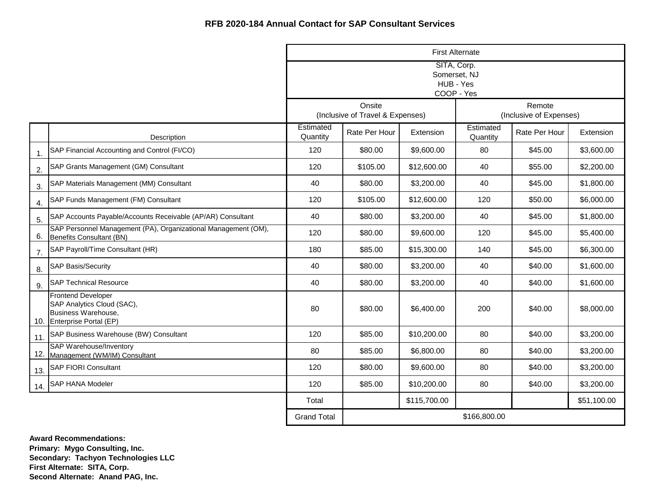|                |                                                                                                              | <b>First Alternate</b>                                 |                                            |              |                                   |               |             |  |
|----------------|--------------------------------------------------------------------------------------------------------------|--------------------------------------------------------|--------------------------------------------|--------------|-----------------------------------|---------------|-------------|--|
|                |                                                                                                              | SITA, Corp.<br>Somerset, NJ<br>HUB - Yes<br>COOP - Yes |                                            |              |                                   |               |             |  |
|                |                                                                                                              |                                                        | Onsite<br>(Inclusive of Travel & Expenses) |              | Remote<br>(Inclusive of Expenses) |               |             |  |
|                | Description                                                                                                  | Estimated<br>Quantity                                  | Rate Per Hour                              | Extension    | Estimated<br>Quantity             | Rate Per Hour | Extension   |  |
| $\mathbf{1}$ . | SAP Financial Accounting and Control (FI/CO)                                                                 | 120                                                    | \$80.00                                    | \$9,600.00   | 80                                | \$45.00       | \$3,600.00  |  |
| 2.             | SAP Grants Management (GM) Consultant                                                                        | 120                                                    | \$105.00                                   | \$12,600.00  | 40                                | \$55.00       | \$2,200.00  |  |
| 3.             | SAP Materials Management (MM) Consultant                                                                     | 40                                                     | \$80.00                                    | \$3,200.00   | 40                                | \$45.00       | \$1,800.00  |  |
| 4.             | SAP Funds Management (FM) Consultant                                                                         | 120                                                    | \$105.00                                   | \$12,600.00  | 120                               | \$50.00       | \$6,000.00  |  |
| 5.             | SAP Accounts Payable/Accounts Receivable (AP/AR) Consultant                                                  | 40                                                     | \$80.00                                    | \$3,200.00   | 40                                | \$45.00       | \$1,800.00  |  |
| 6.             | SAP Personnel Management (PA), Organizational Management (OM),<br>Benefits Consultant (BN)                   | 120                                                    | \$80.00                                    | \$9,600.00   | 120                               | \$45.00       | \$5,400.00  |  |
| 7.             | SAP Payroll/Time Consultant (HR)                                                                             | 180                                                    | \$85.00                                    | \$15,300.00  | 140                               | \$45.00       | \$6,300.00  |  |
| 8.             | <b>SAP Basis/Security</b>                                                                                    | 40                                                     | \$80.00                                    | \$3,200.00   | 40                                | \$40.00       | \$1,600.00  |  |
| 9.             | <b>SAP Technical Resource</b>                                                                                | 40                                                     | \$80.00                                    | \$3,200.00   | 40                                | \$40.00       | \$1,600.00  |  |
|                | <b>Frontend Developer</b><br>SAP Analytics Cloud (SAC),<br>Business Warehouse,<br>10. Enterprise Portal (EP) | 80                                                     | \$80.00                                    | \$6,400.00   | 200                               | \$40.00       | \$8,000.00  |  |
| 11.            | SAP Business Warehouse (BW) Consultant                                                                       | 120                                                    | \$85.00                                    | \$10,200.00  | 80                                | \$40.00       | \$3,200.00  |  |
|                | <b>SAP Warehouse/Inventory</b><br>12. Management (WM/IM) Consultant                                          | 80                                                     | \$85.00                                    | \$6,800.00   | 80                                | \$40.00       | \$3,200.00  |  |
| 13.            | <b>SAP FIORI Consultant</b>                                                                                  | 120                                                    | \$80.00                                    | \$9,600.00   | 80                                | \$40.00       | \$3,200.00  |  |
| 14.            | <b>SAP HANA Modeler</b>                                                                                      | 120                                                    | \$85.00                                    | \$10,200.00  | 80                                | \$40.00       | \$3,200.00  |  |
|                |                                                                                                              | Total                                                  |                                            | \$115,700.00 |                                   |               | \$51,100.00 |  |
|                |                                                                                                              | <b>Grand Total</b>                                     | \$166,800.00                               |              |                                   |               |             |  |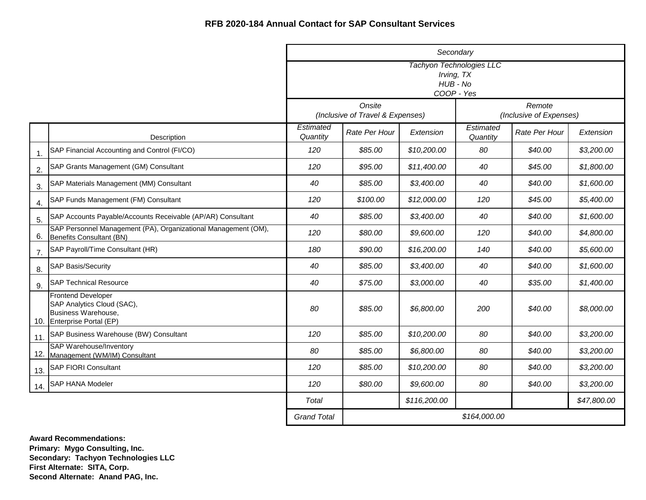|                |                                                                                                              | Secondary                                                               |                                            |                       |                                   |           |             |  |
|----------------|--------------------------------------------------------------------------------------------------------------|-------------------------------------------------------------------------|--------------------------------------------|-----------------------|-----------------------------------|-----------|-------------|--|
|                |                                                                                                              | <b>Tachyon Technologies LLC</b><br>Irving, TX<br>HUB - No<br>COOP - Yes |                                            |                       |                                   |           |             |  |
|                |                                                                                                              |                                                                         | Onsite<br>(Inclusive of Travel & Expenses) |                       | Remote<br>(Inclusive of Expenses) |           |             |  |
|                | Description                                                                                                  | Estimated<br>Rate Per Hour<br>Extension<br>Quantity                     |                                            | Estimated<br>Quantity | Rate Per Hour                     | Extension |             |  |
| $\mathbf{1}$ . | SAP Financial Accounting and Control (FI/CO)                                                                 | 120                                                                     | \$85.00                                    | \$10,200.00           | 80                                | \$40.00   | \$3,200.00  |  |
| 2.             | SAP Grants Management (GM) Consultant                                                                        | 120                                                                     | \$95.00                                    | \$11,400.00           | 40                                | \$45.00   | \$1,800.00  |  |
| 3.             | SAP Materials Management (MM) Consultant                                                                     | 40                                                                      | \$85.00                                    | \$3,400.00            | 40                                | \$40.00   | \$1,600.00  |  |
| 4.             | SAP Funds Management (FM) Consultant                                                                         | 120                                                                     | \$100.00                                   | \$12,000.00           | 120                               | \$45.00   | \$5,400.00  |  |
| 5.             | SAP Accounts Payable/Accounts Receivable (AP/AR) Consultant                                                  | 40                                                                      | \$85.00                                    | \$3,400.00            | 40                                | \$40.00   | \$1,600.00  |  |
| 6.             | SAP Personnel Management (PA), Organizational Management (OM),<br>Benefits Consultant (BN)                   | 120                                                                     | \$80.00                                    | \$9,600.00            | 120                               | \$40.00   | \$4,800.00  |  |
| 7.             | SAP Payroll/Time Consultant (HR)                                                                             | 180                                                                     | \$90.00                                    | \$16,200.00           | 140                               | \$40.00   | \$5,600.00  |  |
| 8.             | <b>SAP Basis/Security</b>                                                                                    | 40                                                                      | \$85.00                                    | \$3,400.00            | 40                                | \$40.00   | \$1,600.00  |  |
| 9.             | <b>SAP Technical Resource</b>                                                                                | 40                                                                      | \$75.00                                    | \$3,000.00            | 40                                | \$35.00   | \$1,400.00  |  |
|                | <b>Frontend Developer</b><br>SAP Analytics Cloud (SAC),<br>Business Warehouse,<br>10. Enterprise Portal (EP) | 80                                                                      | \$85.00                                    | \$6,800.00            | 200                               | \$40.00   | \$8,000.00  |  |
| 11.            | SAP Business Warehouse (BW) Consultant                                                                       | 120                                                                     | \$85.00                                    | \$10,200.00           | 80                                | \$40.00   | \$3,200.00  |  |
|                | <b>SAP Warehouse/Inventory</b><br>12. Management (WM/IM) Consultant                                          | 80                                                                      | \$85.00                                    | \$6,800.00            | 80                                | \$40.00   | \$3,200.00  |  |
| 13.            | <b>SAP FIORI Consultant</b>                                                                                  | 120                                                                     | \$85.00                                    | \$10,200.00           | 80                                | \$40.00   | \$3,200.00  |  |
| 14.            | SAP HANA Modeler                                                                                             | 120                                                                     | \$80.00                                    | \$9,600.00            | 80                                | \$40.00   | \$3,200.00  |  |
|                |                                                                                                              | Total                                                                   |                                            | \$116,200.00          |                                   |           | \$47,800.00 |  |
|                |                                                                                                              | <b>Grand Total</b>                                                      | \$164,000.00                               |                       |                                   |           |             |  |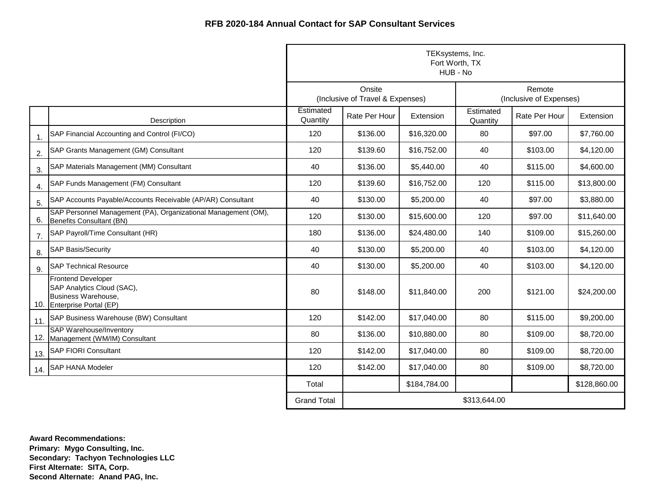|                  |                                                                                                              | TEKsystems, Inc.<br>Fort Worth, TX<br>HUB - No |                                            |              |                                   |               |              |
|------------------|--------------------------------------------------------------------------------------------------------------|------------------------------------------------|--------------------------------------------|--------------|-----------------------------------|---------------|--------------|
|                  |                                                                                                              |                                                | Onsite<br>(Inclusive of Travel & Expenses) |              | Remote<br>(Inclusive of Expenses) |               |              |
|                  | Description                                                                                                  | Estimated<br>Quantity                          | Rate Per Hour                              | Extension    | Estimated<br>Quantity             | Rate Per Hour | Extension    |
| 1.               | SAP Financial Accounting and Control (FI/CO)                                                                 | 120                                            | \$136.00                                   | \$16,320.00  | 80                                | \$97.00       | \$7,760.00   |
| 2.               | SAP Grants Management (GM) Consultant                                                                        | 120                                            | \$139.60                                   | \$16,752.00  | 40                                | \$103.00      | \$4,120.00   |
| 3.               | SAP Materials Management (MM) Consultant                                                                     | 40                                             | \$136.00                                   | \$5,440.00   | 40                                | \$115.00      | \$4,600.00   |
| $\overline{4}$ . | SAP Funds Management (FM) Consultant                                                                         | 120                                            | \$139.60                                   | \$16,752.00  | 120                               | \$115.00      | \$13,800.00  |
| 5.               | SAP Accounts Payable/Accounts Receivable (AP/AR) Consultant                                                  | 40                                             | \$130.00                                   | \$5,200.00   | 40                                | \$97.00       | \$3,880.00   |
| 6.               | SAP Personnel Management (PA), Organizational Management (OM),<br>Benefits Consultant (BN)                   | 120                                            | \$130.00                                   | \$15,600.00  | 120                               | \$97.00       | \$11,640.00  |
| 7.               | SAP Payroll/Time Consultant (HR)                                                                             | 180                                            | \$136.00                                   | \$24,480.00  | 140                               | \$109.00      | \$15,260.00  |
| 8.               | <b>SAP Basis/Security</b>                                                                                    | 40                                             | \$130.00                                   | \$5,200.00   | 40                                | \$103.00      | \$4,120.00   |
| 9.               | <b>SAP Technical Resource</b>                                                                                | 40                                             | \$130.00                                   | \$5,200.00   | 40                                | \$103.00      | \$4,120.00   |
|                  | <b>Frontend Developer</b><br>SAP Analytics Cloud (SAC),<br>Business Warehouse,<br>10. Enterprise Portal (EP) | 80                                             | \$148.00                                   | \$11,840.00  | 200                               | \$121.00      | \$24,200.00  |
| 11.              | SAP Business Warehouse (BW) Consultant                                                                       | 120                                            | \$142.00                                   | \$17,040.00  | 80                                | \$115.00      | \$9,200.00   |
|                  | <b>SAP Warehouse/Inventory</b><br>12. Management (WM/IM) Consultant                                          | 80                                             | \$136.00                                   | \$10,880.00  | 80                                | \$109.00      | \$8,720.00   |
| 13.              | <b>SAP FIORI Consultant</b>                                                                                  | 120                                            | \$142.00                                   | \$17,040.00  | 80                                | \$109.00      | \$8,720.00   |
| 14.              | <b>SAP HANA Modeler</b>                                                                                      | 120                                            | \$142.00                                   | \$17,040.00  | 80                                | \$109.00      | \$8,720.00   |
|                  |                                                                                                              | Total                                          |                                            | \$184,784.00 |                                   |               | \$128,860.00 |
|                  |                                                                                                              | <b>Grand Total</b>                             |                                            |              | \$313,644.00                      |               |              |